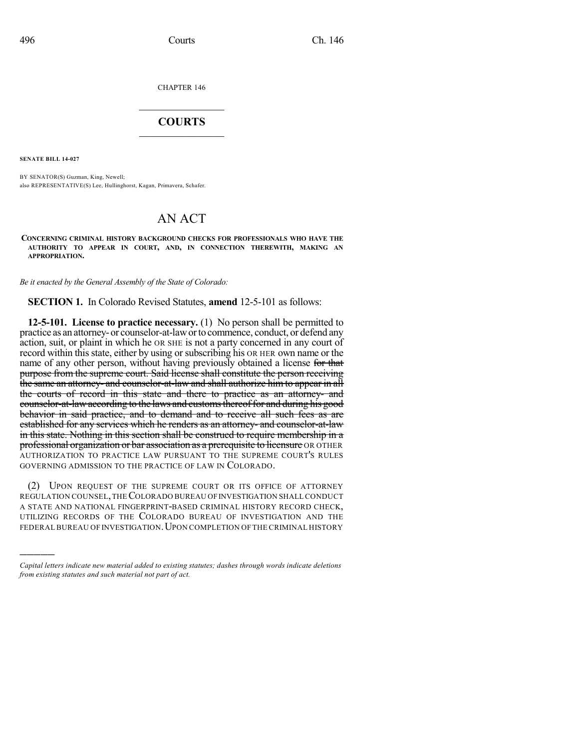CHAPTER 146

## $\overline{\phantom{a}}$  . The set of the set of the set of the set of the set of the set of the set of the set of the set of the set of the set of the set of the set of the set of the set of the set of the set of the set of the set o **COURTS**  $\_$   $\_$   $\_$   $\_$   $\_$   $\_$   $\_$   $\_$

**SENATE BILL 14-027**

)))))

BY SENATOR(S) Guzman, King, Newell; also REPRESENTATIVE(S) Lee, Hullinghorst, Kagan, Primavera, Schafer.

## AN ACT

**CONCERNING CRIMINAL HISTORY BACKGROUND CHECKS FOR PROFESSIONALS WHO HAVE THE AUTHORITY TO APPEAR IN COURT, AND, IN CONNECTION THEREWITH, MAKING AN APPROPRIATION.**

*Be it enacted by the General Assembly of the State of Colorado:*

**SECTION 1.** In Colorado Revised Statutes, **amend** 12-5-101 as follows:

**12-5-101. License to practice necessary.** (1) No person shall be permitted to practice as an attorney- or counselor-at-laworto commence, conduct, or defend any action, suit, or plaint in which he OR SHE is not a party concerned in any court of record within this state, either by using or subscribing his OR HER own name or the name of any other person, without having previously obtained a license for that purpose from the supreme court. Said license shall constitute the person receiving the same an attorney- and counselor-at-law and shall authorize him to appear in all the courts of record in this state and there to practice as an attorney- and counselor-at-law according to the laws and customs thereof for and during his good behavior in said practice, and to demand and to receive all such fees as are established for any services which he renders as an attorney- and counselor-at-law in this state. Nothing in this section shall be construed to require membership in a professional organization or bar association as a prerequisite to licensure OR OTHER AUTHORIZATION TO PRACTICE LAW PURSUANT TO THE SUPREME COURT'S RULES GOVERNING ADMISSION TO THE PRACTICE OF LAW IN COLORADO.

(2) UPON REQUEST OF THE SUPREME COURT OR ITS OFFICE OF ATTORNEY REGULATION COUNSEL,THECOLORADO BUREAU OFINVESTIGATION SHALL CONDUCT A STATE AND NATIONAL FINGERPRINT-BASED CRIMINAL HISTORY RECORD CHECK, UTILIZING RECORDS OF THE COLORADO BUREAU OF INVESTIGATION AND THE FEDERAL BUREAU OF INVESTIGATION. UPON COMPLETION OF THE CRIMINAL HISTORY

*Capital letters indicate new material added to existing statutes; dashes through words indicate deletions from existing statutes and such material not part of act.*